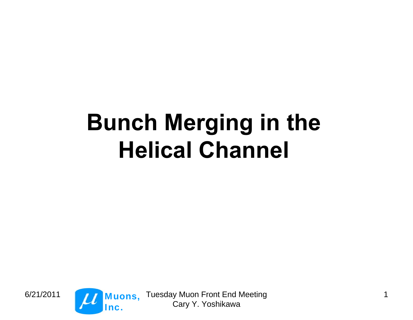# **Bunch Merging in the Helical Channel**



6/21/2011 1 Cary Y. Yoshikawa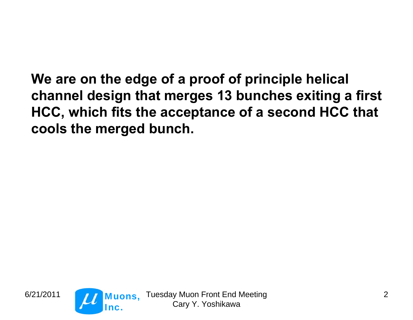**We are on the edge of a proof of principle helical channel design that merges 13 bunches exiting a first HCC, which fits the acceptance of a second HCC that cools the merged bunch.**



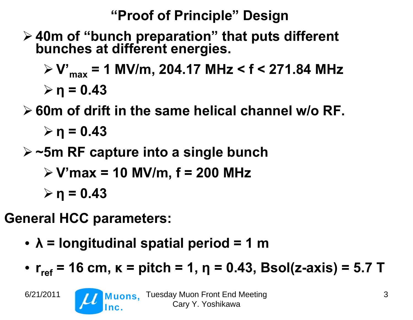# **"Proof of Principle" Design**

**40m of "bunch preparation" that puts different bunches at different energies.**

 **V'max = 1 MV/m, 204.17 MHz < f < 271.84 MHz η = 0.43**

- **60m of drift in the same helical channel w/o RF. η = 0.43**
- **~5m RF capture into a single bunch**
	- **V'max = 10 MV/m, f = 200 MHz**

**η = 0.43**

**General HCC parameters:**

- **λ = longitudinal spatial period = 1 m**
- r<sub>ref</sub> = 16 cm, κ = pitch = 1, η = 0.43, Bsol(z-axis) = 5.7 T

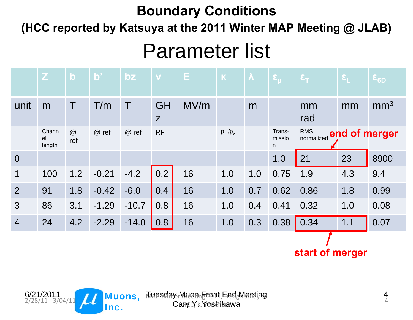#### **Boundary Conditions**

**(HCC reported by Katsuya at the 2011 Winter MAP Meeting @ JLAB)**

# Parameter list

|                | $\mathbf{Z}$          | $\mathbf b$ | $\mathbf{b}$ | bz      | V         | Е.   | $\mathbf K$       | $\boldsymbol{\lambda}$ | $\epsilon_{\mu}$      | $\epsilon$ <sub>T</sub>  | $\epsilon_{L}$ | $\epsilon_{6D}$ |
|----------------|-----------------------|-------------|--------------|---------|-----------|------|-------------------|------------------------|-----------------------|--------------------------|----------------|-----------------|
| unit           | m                     | T           | T/m          | $\top$  | GH<br>Z   | MV/m |                   | m                      |                       | mm<br>rad                | mm             | mm <sup>3</sup> |
|                | Chann<br>el<br>length | @<br>ref    | @ ref        | @ ref   | <b>RF</b> |      | $p_{\perp}/p_{z}$ |                        | Trans-<br>missio<br>n | <b>RMS</b><br>normalized |                | end of merger   |
| $\overline{0}$ |                       |             |              |         |           |      |                   |                        | 1.0                   | 21                       | 23             | 8900            |
| $\mathbf 1$    | 100                   | 1.2         | $-0.21$      | $-4.2$  | 0.2       | 16   | 1.0               | 1.0                    | 0.75                  | 1.9                      | 4.3            | 9.4             |
| 2              | 91                    | 1.8         | $-0.42$      | $-6.0$  | 0.4       | 16   | 1.0               | 0.7                    | 0.62                  | 0.86                     | 1.8            | 0.99            |
| $\mathbf{3}$   | 86                    | 3.1         | $-1.29$      | $-10.7$ | 0.8       | 16   | 1.0               | 0.4                    | 0.41                  | 0.32                     | 1.0            | 0.08            |
| $\overline{4}$ | 24                    | 4.2         | $-2.29$      | $-14.0$ | 0.8       | 16   | 1.0               | 0.3                    | 0.38                  | 0.34                     | 1.1            | 0.07            |
|                |                       |             |              |         |           |      |                   |                        |                       |                          |                |                 |

**start of merger**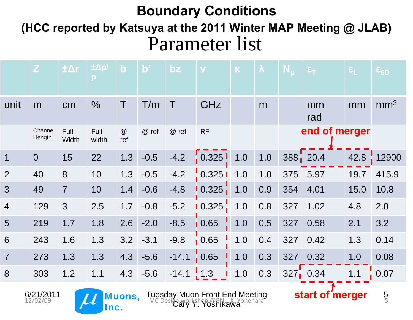#### **Boundary Conditions**

Parameter list **(HCC reported by Katsuya at the 2011 Winter MAP Meeting @ JLAB)**

|                         | $\mathbf{Z}$       | $\pm \Delta r$ | ±Δp/<br>p     | $\mathbf b$ | $\overline{\mathbf{b}}$ | $bz$               |                     | $\left[\mathbf{K}\right]$ | $\boldsymbol{\lambda}$ | $N_{\rm u}$ | $\epsilon_{\text{T}}$   | $\boldsymbol{\epsilon}_{\mathsf{L}}$ | $\epsilon_{6D}$ |
|-------------------------|--------------------|----------------|---------------|-------------|-------------------------|--------------------|---------------------|---------------------------|------------------------|-------------|-------------------------|--------------------------------------|-----------------|
| unit                    | m                  | cm             | $\frac{0}{0}$ | Τ           | T/m                     | $\hat{\mathbf{r}}$ | GHz                 |                           | m                      |             | mm<br>rad               | mm                                   | mm <sup>3</sup> |
|                         | Channe<br>I length | Full<br>Width  | Full<br>width | @<br>ref    | @ ref                   | @ ref              | <b>RF</b>           |                           |                        |             | end of merger           |                                      |                 |
| $\overline{\mathbf{1}}$ | $\overline{0}$     | 15             | 22            | 1.3         | $-0.5$                  | $-4.2$             |                     |                           | 1.0                    | 388 20.4    |                         | 42.8                                 | 12900           |
| 2                       | 40                 | 8              | 10            | 1.3         | $-0.5$                  | $-4.2$             | $0.3251$ 1.0        |                           | 1.0                    | 375         | 5.97                    | 19.7                                 | 415.9           |
| 3                       | 49                 | $\overline{7}$ | 10            | 1.4         | $-0.6$                  | $-4.8$             | $\overline{10.325}$ | 1.0                       | 0.9                    | 354         | 4.01                    | 15.0                                 | 10.8            |
| $\overline{4}$          | 129                | 3              | 2.5           | 1.7         | $-0.8$                  | $-5.2$             | $\mid 0.325 \mid$   | 1.0                       | 0.8                    | 327         | 1.02                    | 4.8                                  | 2.0             |
| 5                       | 219                | 1.7            | 1.8           | 2.6         | $-2.0$                  | $-8.5$             | 0.65                | 1.0                       | 0.5                    | 327         | 0.58                    | 2.1                                  | 3.2             |
| 6                       | 243                | 1.6            | 1.3           | 3.2         | $-3.1$                  | $-9.8$             | $\frac{1}{1}$ 0.65  | 1.0                       | 0.4                    | 327         | 0.42                    | 1.3                                  | 0.14            |
| $\overline{7}$          | 273                | 1.3            | 1.3           | 4.3         | $-5.6$                  | $-14.1$            | $\frac{1}{2}$ 0.65  | 1.0                       | 0.3                    | 327         | 0.32                    | 1.0                                  | 0.08            |
| 8                       | 303                | 1.2            | 1.1           | 4.3         | $-5.6$                  | $-14.1$            | $\frac{1}{2}$ 1.3   | 1.0                       | 0.3                    |             | $327$ <sub>1</sub> 0.34 | 1.1                                  | 0.07            |





6/21/2011 **Turn Muons**, Tuesday Muon Front End Meeting Cary Y. Yoshikawa 6/21/2011 **Muons, Iuesday Muon Front End Meeting**<br>12/02/09 **Muons, Mc** Design workshop @BNL, K, Yonehara

5 5

**start of merger**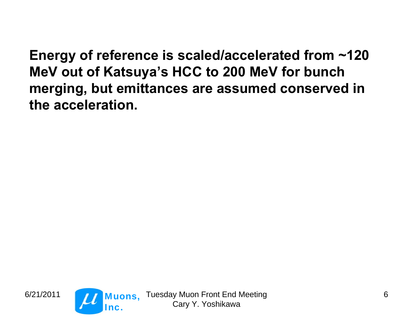**Energy of reference is scaled/accelerated from ~120 MeV out of Katsuya's HCC to 200 MeV for bunch merging, but emittances are assumed conserved in the acceleration.**



6/21/2011 **Trans, Tuesday Muon Front End Meeting** Cary Y. Yoshikawa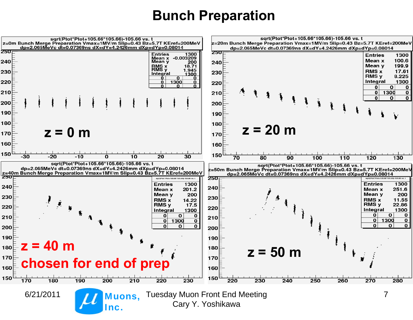#### **Bunch Preparation**

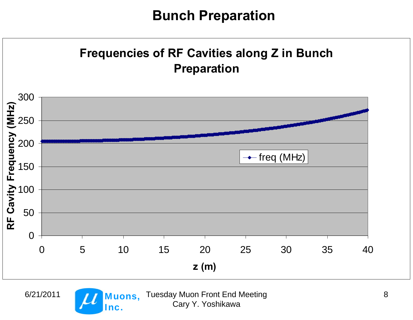#### **Bunch Preparation**

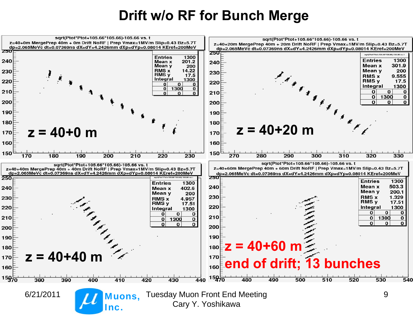#### **Drift w/o RF for Bunch Merge**

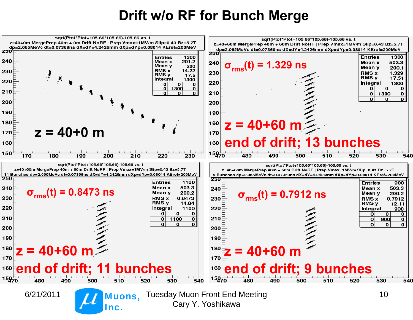#### **Drift w/o RF for Bunch Merge**

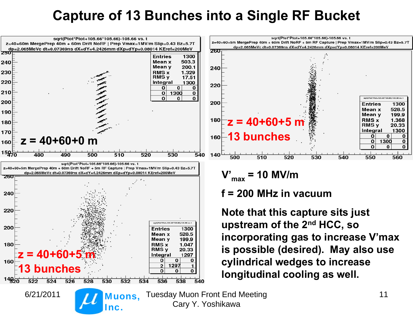# **Capture of 13 Bunches into a Single RF Bucket**

![](_page_10_Figure_1.jpeg)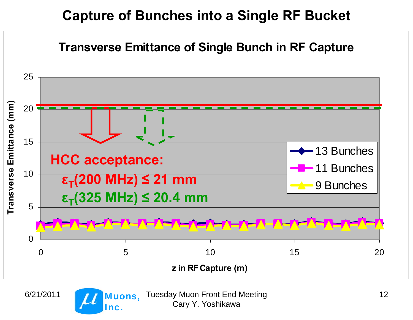# **Capture of Bunches into a Single RF Bucket**

![](_page_11_Figure_1.jpeg)

![](_page_11_Picture_3.jpeg)

6/21/2011 12 Cary Y. Yoshikawa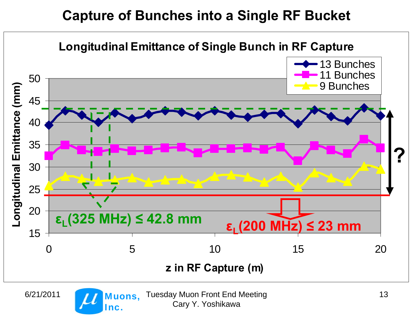# **Capture of Bunches into a Single RF Bucket**

![](_page_12_Figure_1.jpeg)